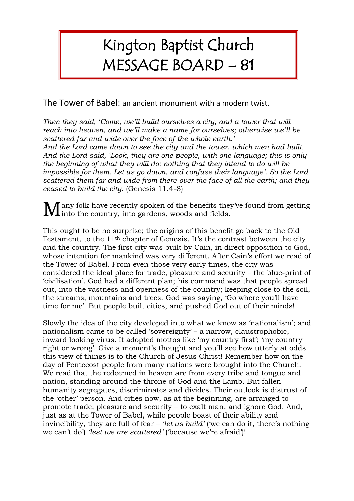## Kington Baptist Church MESSAGE BOARD – 81

## The Tower of Babel: an ancient monument with a modern twist.

*Then they said, 'Come, we'll build ourselves a city, and a tower that will reach into heaven, and we'll make a name for ourselves; otherwise we'll be scattered far and wide over the face of the whole earth.'*

*And the Lord came down to see the city and the tower, which men had built. And the Lord said, 'Look, they are one people, with one language; this is only the beginning of what they will do; nothing that they intend to do will be impossible for them. Let us go down, and confuse their language'. So the Lord scattered them far and wide from there over the face of all the earth; and they ceased to build the city.* (Genesis 11.4-8)

 $\sqrt{\phantom{a}}$  any folk have recently spoken of the benefits they've found from getting  $\mathbf M$ any folk have recently spoken of the benefits the into the country, into gardens, woods and fields.

This ought to be no surprise; the origins of this benefit go back to the Old Testament, to the 11th chapter of Genesis. It's the contrast between the city and the country. The first city was built by Cain, in direct opposition to God, whose intention for mankind was very different. After Cain's effort we read of the Tower of Babel. From even those very early times, the city was considered the ideal place for trade, pleasure and security – the blue-print of 'civilisation'. God had a different plan; his command was that people spread out, into the vastness and openness of the country; keeping close to the soil, the streams, mountains and trees. God was saying, 'Go where you'll have time for me'. But people built cities, and pushed God out of their minds!

Slowly the idea of the city developed into what we know as 'nationalism'; and nationalism came to be called 'sovereignty' – a narrow, claustrophobic, inward looking virus. It adopted mottos like 'my country first'; 'my country right or wrong'. Give a moment's thought and you'll see how utterly at odds this view of things is to the Church of Jesus Christ! Remember how on the day of Pentecost people from many nations were brought into the Church. We read that the redeemed in heaven are from every tribe and tongue and nation, standing around the throne of God and the Lamb. But fallen humanity segregates, discriminates and divides. Their outlook is distrust of the 'other' person. And cities now, as at the beginning, are arranged to promote trade, pleasure and security – to exalt man, and ignore God. And, just as at the Tower of Babel, while people boast of their ability and invincibility, they are full of fear – *'let us build'* ('we can do it, there's nothing we can't do') *'lest we are scattered'* ('because we're afraid')!